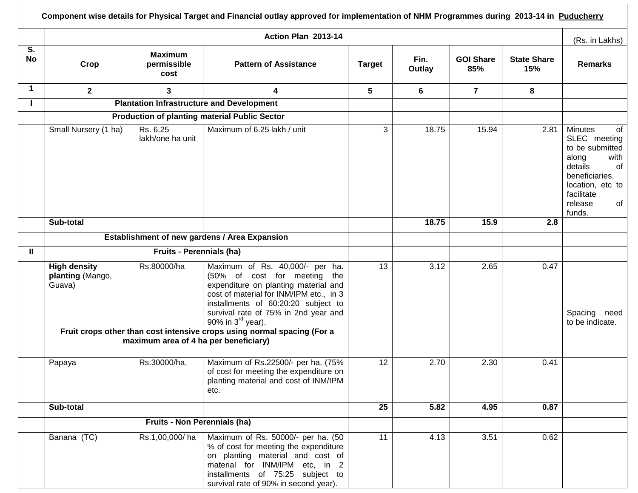|                      |                                                                                                                  |                                               | Component wise details for Physical Target and Financial outlay approved for implementation of NHM Programmes during 2013-14 in Puducherry                                                                                                                         |               |                |                         |                           |                                                                                                                                                                          |
|----------------------|------------------------------------------------------------------------------------------------------------------|-----------------------------------------------|--------------------------------------------------------------------------------------------------------------------------------------------------------------------------------------------------------------------------------------------------------------------|---------------|----------------|-------------------------|---------------------------|--------------------------------------------------------------------------------------------------------------------------------------------------------------------------|
|                      | Action Plan 2013-14                                                                                              |                                               |                                                                                                                                                                                                                                                                    |               |                |                         |                           | (Rs. in Lakhs)                                                                                                                                                           |
| S.<br><b>No</b>      | Crop                                                                                                             | <b>Maximum</b><br>permissible<br>cost         | <b>Pattern of Assistance</b>                                                                                                                                                                                                                                       | <b>Target</b> | Fin.<br>Outlay | <b>GOI Share</b><br>85% | <b>State Share</b><br>15% | <b>Remarks</b>                                                                                                                                                           |
| $\blacktriangleleft$ | $\mathbf{2}$                                                                                                     | 3                                             | 4                                                                                                                                                                                                                                                                  | 5             | 6              | $\overline{7}$          | 8                         |                                                                                                                                                                          |
|                      | <b>Plantation Infrastructure and Development</b>                                                                 |                                               |                                                                                                                                                                                                                                                                    |               |                |                         |                           |                                                                                                                                                                          |
|                      |                                                                                                                  |                                               | <b>Production of planting material Public Sector</b>                                                                                                                                                                                                               |               |                |                         |                           |                                                                                                                                                                          |
|                      | Small Nursery (1 ha)                                                                                             | Rs. 6.25<br>lakh/one ha unit                  | Maximum of 6.25 lakh / unit                                                                                                                                                                                                                                        | 3             | 18.75          | 15.94                   | 2.81                      | <b>Minutes</b><br>of<br>SLEC meeting<br>to be submitted<br>along<br>with<br>details<br>of<br>beneficiaries,<br>location, etc to<br>facilitate<br>release<br>of<br>funds. |
|                      | Sub-total                                                                                                        |                                               |                                                                                                                                                                                                                                                                    |               | 18.75          | 15.9                    | 2.8                       |                                                                                                                                                                          |
|                      |                                                                                                                  | Establishment of new gardens / Area Expansion |                                                                                                                                                                                                                                                                    |               |                |                         |                           |                                                                                                                                                                          |
| $\mathbf{u}$         |                                                                                                                  | <b>Fruits - Perennials (ha)</b>               |                                                                                                                                                                                                                                                                    |               |                |                         |                           |                                                                                                                                                                          |
|                      | <b>High density</b><br>planting (Mango,<br>Guava)                                                                | Rs.80000/ha                                   | Maximum of Rs. 40,000/- per ha.<br>(50% of cost for meeting the<br>expenditure on planting material and<br>cost of material for INM/IPM etc., in 3<br>installments of 60:20:20 subject to<br>survival rate of 75% in 2nd year and<br>90% in $3^{\text{rd}}$ year). | 13            | 3.12           | 2.65                    | 0.47                      | Spacing<br>need<br>to be indicate.                                                                                                                                       |
|                      | Fruit crops other than cost intensive crops using normal spacing (For a<br>maximum area of 4 ha per beneficiary) |                                               |                                                                                                                                                                                                                                                                    |               |                |                         |                           |                                                                                                                                                                          |
|                      | Papaya                                                                                                           | Rs.30000/ha.                                  | Maximum of Rs.22500/- per ha. (75%<br>of cost for meeting the expenditure on<br>planting material and cost of INM/IPM<br>etc.                                                                                                                                      | 12            | 2.70           | 2.30                    | 0.41                      |                                                                                                                                                                          |
|                      | Sub-total                                                                                                        |                                               |                                                                                                                                                                                                                                                                    | 25            | 5.82           | 4.95                    | 0.87                      |                                                                                                                                                                          |
|                      |                                                                                                                  | Fruits - Non Perennials (ha)                  |                                                                                                                                                                                                                                                                    |               |                |                         |                           |                                                                                                                                                                          |
|                      | Banana (TC)                                                                                                      | Rs.1,00,000/ha                                | Maximum of Rs. 50000/- per ha. (50<br>% of cost for meeting the expenditure<br>on planting material and cost of<br>material for INM/IPM etc, in 2<br>installments of 75:25 subject to<br>survival rate of 90% in second year).                                     | 11            | 4.13           | 3.51                    | 0.62                      |                                                                                                                                                                          |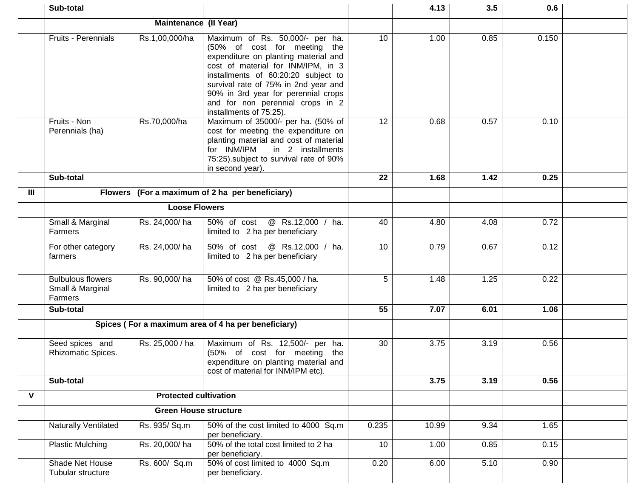|                | Sub-total                                               |                              |                                                                                                                                                                                                                                                                                                                                    |       | 4.13  | 3.5  | 0.6   |  |
|----------------|---------------------------------------------------------|------------------------------|------------------------------------------------------------------------------------------------------------------------------------------------------------------------------------------------------------------------------------------------------------------------------------------------------------------------------------|-------|-------|------|-------|--|
|                | Maintenance (II Year)                                   |                              |                                                                                                                                                                                                                                                                                                                                    |       |       |      |       |  |
|                | Fruits - Perennials                                     | Rs.1,00,000/ha               | Maximum of Rs. 50,000/- per ha.<br>(50% of cost for meeting the<br>expenditure on planting material and<br>cost of material for INM/IPM, in 3<br>installments of 60:20:20 subject to<br>survival rate of 75% in 2nd year and<br>90% in 3rd year for perennial crops<br>and for non perennial crops in 2<br>installments of 75:25). | 10    | 1.00  | 0.85 | 0.150 |  |
|                | Fruits - Non<br>Perennials (ha)                         | Rs.70,000/ha                 | Maximum of 35000/- per ha. (50% of<br>cost for meeting the expenditure on<br>planting material and cost of material<br>for INM/IPM<br>in 2 installments<br>75:25) subject to survival rate of 90%<br>in second year).                                                                                                              | 12    | 0.68  | 0.57 | 0.10  |  |
|                | Sub-total                                               |                              |                                                                                                                                                                                                                                                                                                                                    | 22    | 1.68  | 1.42 | 0.25  |  |
| $\mathbf{III}$ |                                                         |                              | Flowers (For a maximum of 2 ha per beneficiary)                                                                                                                                                                                                                                                                                    |       |       |      |       |  |
|                | <b>Loose Flowers</b>                                    |                              |                                                                                                                                                                                                                                                                                                                                    |       |       |      |       |  |
|                | Small & Marginal<br>Farmers                             | Rs. 24,000/ha                | @ Rs.12,000 / ha.<br>50% of cost<br>limited to 2 ha per beneficiary                                                                                                                                                                                                                                                                | 40    | 4.80  | 4.08 | 0.72  |  |
|                | For other category<br>farmers                           | Rs. 24,000/ha                | 50% of cost<br>@ Rs.12,000 / ha.<br>limited to 2 ha per beneficiary                                                                                                                                                                                                                                                                | 10    | 0.79  | 0.67 | 0.12  |  |
|                | <b>Bulbulous flowers</b><br>Small & Marginal<br>Farmers | Rs. 90,000/ha                | 50% of cost @ Rs.45,000 / ha.<br>limited to 2 ha per beneficiary                                                                                                                                                                                                                                                                   | 5     | 1.48  | 1.25 | 0.22  |  |
|                | Sub-total                                               |                              |                                                                                                                                                                                                                                                                                                                                    | 55    | 7.07  | 6.01 | 1.06  |  |
|                | Spices (For a maximum area of 4 ha per beneficiary)     |                              |                                                                                                                                                                                                                                                                                                                                    |       |       |      |       |  |
|                | Seed spices and<br>Rhizomatic Spices.                   | Rs. 25,000 / ha              | Maximum of Rs. 12,500/- per ha.<br>(50% of cost for meeting the<br>expenditure on planting material and<br>cost of material for INM/IPM etc).                                                                                                                                                                                      | 30    | 3.75  | 3.19 | 0.56  |  |
|                | Sub-total                                               |                              |                                                                                                                                                                                                                                                                                                                                    |       | 3.75  | 3.19 | 0.56  |  |
| ۷              |                                                         | <b>Protected cultivation</b> |                                                                                                                                                                                                                                                                                                                                    |       |       |      |       |  |
|                | <b>Green House structure</b>                            |                              |                                                                                                                                                                                                                                                                                                                                    |       |       |      |       |  |
|                | <b>Naturally Ventilated</b>                             | Rs. 935/ Sq.m                | 50% of the cost limited to 4000 Sq.m<br>per beneficiary.                                                                                                                                                                                                                                                                           | 0.235 | 10.99 | 9.34 | 1.65  |  |
|                | <b>Plastic Mulching</b>                                 | Rs. 20,000/ha                | 50% of the total cost limited to 2 ha<br>per beneficiary.                                                                                                                                                                                                                                                                          | 10    | 1.00  | 0.85 | 0.15  |  |
|                | Shade Net House<br>Tubular structure                    | Rs. 600/ Sq.m                | 50% of cost limited to 4000 Sq.m<br>per beneficiary.                                                                                                                                                                                                                                                                               | 0.20  | 6.00  | 5.10 | 0.90  |  |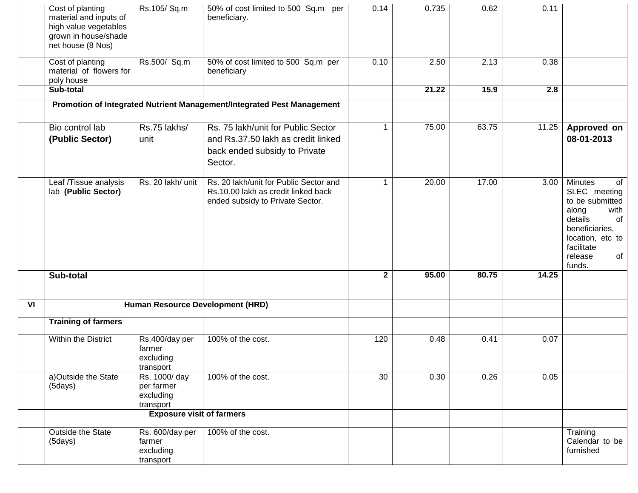|    | Cost of planting<br>material and inputs of<br>high value vegetables<br>grown in house/shade<br>net house (8 Nos) | Rs.105/Sq.m                                          | 50% of cost limited to 500 Sq.m per<br>beneficiary.                                                                  | 0.14         | 0.735 | 0.62  | 0.11  |                                                                                                                                                                          |
|----|------------------------------------------------------------------------------------------------------------------|------------------------------------------------------|----------------------------------------------------------------------------------------------------------------------|--------------|-------|-------|-------|--------------------------------------------------------------------------------------------------------------------------------------------------------------------------|
|    | Cost of planting<br>material of flowers for<br>poly house                                                        | Rs.500/ Sq.m                                         | 50% of cost limited to 500 Sq.m per<br>beneficiary                                                                   | 0.10         | 2.50  | 2.13  | 0.38  |                                                                                                                                                                          |
|    | Sub-total                                                                                                        |                                                      |                                                                                                                      |              | 21.22 | 15.9  | 2.8   |                                                                                                                                                                          |
|    |                                                                                                                  |                                                      | Promotion of Integrated Nutrient Management/Integrated Pest Management                                               |              |       |       |       |                                                                                                                                                                          |
|    | Bio control lab<br>(Public Sector)                                                                               | Rs.75 lakhs/<br>unit                                 | Rs. 75 lakh/unit for Public Sector<br>and Rs.37.50 lakh as credit linked<br>back ended subsidy to Private<br>Sector. | $\mathbf{1}$ | 75.00 | 63.75 | 11.25 | Approved on<br>08-01-2013                                                                                                                                                |
|    | Leaf /Tissue analysis<br>lab (Public Sector)                                                                     | Rs. 20 lakh/ unit                                    | Rs. 20 lakh/unit for Public Sector and<br>Rs.10.00 lakh as credit linked back<br>ended subsidy to Private Sector.    | $\mathbf 1$  | 20.00 | 17.00 | 3.00  | Minutes<br><b>of</b><br>SLEC meeting<br>to be submitted<br>along<br>with<br>details<br>of<br>beneficiaries,<br>location, etc to<br>facilitate<br>release<br>of<br>funds. |
|    | Sub-total                                                                                                        |                                                      |                                                                                                                      | $\mathbf{2}$ | 95.00 | 80.75 | 14.25 |                                                                                                                                                                          |
| VI | Human Resource Development (HRD)                                                                                 |                                                      |                                                                                                                      |              |       |       |       |                                                                                                                                                                          |
|    | <b>Training of farmers</b>                                                                                       |                                                      |                                                                                                                      |              |       |       |       |                                                                                                                                                                          |
|    | Within the District                                                                                              | Rs.400/day per<br>farmer<br>excluding<br>transport   | 100% of the cost.                                                                                                    | 120          | 0.48  | 0.41  | 0.07  |                                                                                                                                                                          |
|    | a)Outside the State<br>(5 days)                                                                                  | Rs. 1000/day<br>per farmer<br>excluding<br>transport | 100% of the cost.                                                                                                    | 30           | 0.30  | 0.26  | 0.05  |                                                                                                                                                                          |
|    | <b>Exposure visit of farmers</b>                                                                                 |                                                      |                                                                                                                      |              |       |       |       |                                                                                                                                                                          |
|    | Outside the State<br>(5days)                                                                                     | Rs. 600/day per<br>farmer<br>excluding<br>transport  | 100% of the cost.                                                                                                    |              |       |       |       | Training<br>Calendar to be<br>furnished                                                                                                                                  |